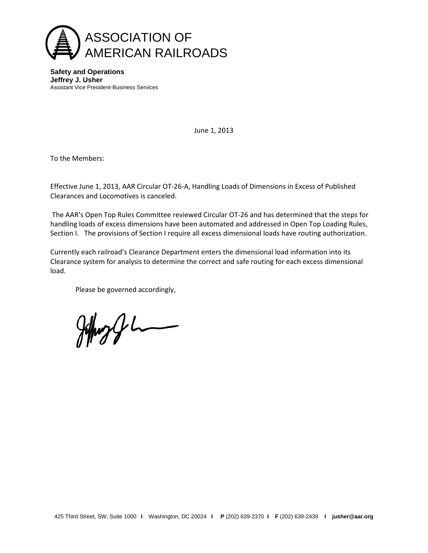

**Safety and Operations Jeffrey J. Usher** Assistant Vice President-Business Services

June 1, 2013

To the Members:

Effective June 1, 2013, AAR Circular OT-26-A, Handling Loads of Dimensions in Excess of Published Clearances and Locomotives is canceled.

The AAR's Open Top Rules Committee reviewed Circular OT-26 and has determined that the steps for handling loads of excess dimensions have been automated and addressed in Open Top Loading Rules, Section I. The provisions of Section I require all excess dimensional loads have routing authorization.

Currently each railroad's Clearance Department enters the dimensional load information into its Clearance system for analysis to determine the correct and safe routing for each excess dimensional load.

Please be governed accordingly,

 $H_{\text{max}}$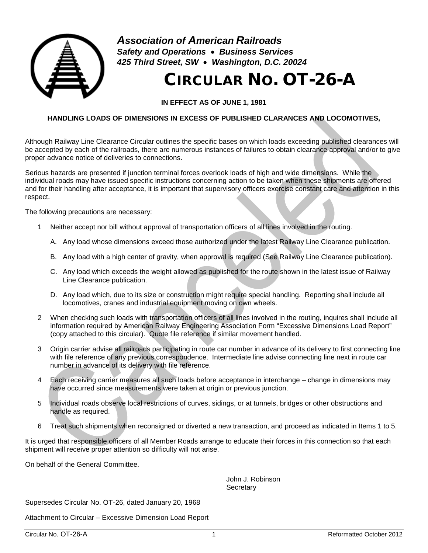

*Association of American Railroads Safety and Operations* • *Business Services 425 Third Street, SW* • *Washington, D.C. 20024*

## CIRCULAR NO. OT-26-A

**IN EFFECT AS OF JUNE 1, 1981**

## **HANDLING LOADS OF DIMENSIONS IN EXCESS OF PUBLISHED CLARANCES AND LOCOMOTIVES,**

Although Railway Line Clearance Circular outlines the specific bases on which loads exceeding published clearances will be accepted by each of the railroads, there are numerous instances of failures to obtain clearance approval and/or to give proper advance notice of deliveries to connections.

Serious hazards are presented if junction terminal forces overlook loads of high and wide dimensions. While the individual roads may have issued specific instructions concerning action to be taken when these shipments are offered and for their handling after acceptance, it is important that supervisory officers exercise constant care and attention in this respect.

The following precautions are necessary:

- 1 Neither accept nor bill without approval of transportation officers of all lines involved in the routing.
	- A. Any load whose dimensions exceed those authorized under the latest Railway Line Clearance publication.
	- B. Any load with a high center of gravity, when approval is required (See Railway Line Clearance publication).
	- C. Any load which exceeds the weight allowed as published for the route shown in the latest issue of Railway Line Clearance publication.
	- D. Any load which, due to its size or construction might require special handling. Reporting shall include all locomotives, cranes and industrial equipment moving on own wheels.
- 2 When checking such loads with transportation officers of all lines involved in the routing, inquires shall include all information required by American Railway Engineering Association Form "Excessive Dimensions Load Report" (copy attached to this circular). Quote file reference if similar movement handled.
- 3 Origin carrier advise all railroads participating in route car number in advance of its delivery to first connecting line with file reference of any previous correspondence. Intermediate line advise connecting line next in route car number in advance of its delivery with file reference.
- 4 Each receiving carrier measures all such loads before acceptance in interchange change in dimensions may have occurred since measurements were taken at origin or previous junction.
- 5 Individual roads observe local restrictions of curves, sidings, or at tunnels, bridges or other obstructions and handle as required.
- 6 Treat such shipments when reconsigned or diverted a new transaction, and proceed as indicated in Items 1 to 5.

It is urged that responsible officers of all Member Roads arrange to educate their forces in this connection so that each shipment will receive proper attention so difficulty will not arise.

On behalf of the General Committee.

John J. Robinson **Secretary** 

Supersedes Circular No. OT-26, dated January 20, 1968

Attachment to Circular – Excessive Dimension Load Report